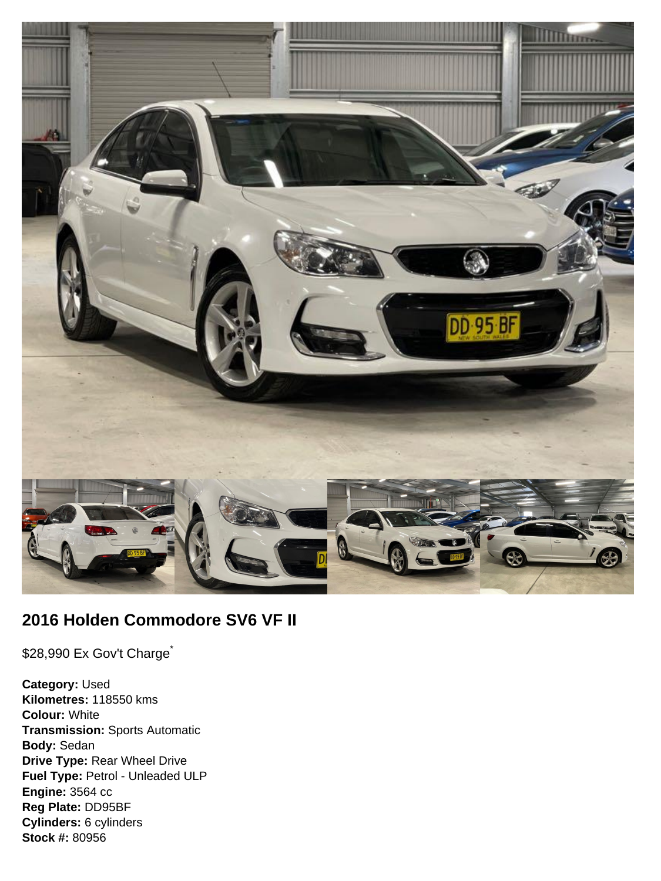

# **2016 Holden Commodore SV6 VF II**

\$28,990 Ex Gov't Charge<sup>\*</sup>

**Category:** Used **Kilometres:** 118550 kms **Colour:** White **Transmission:** Sports Automatic **Body:** Sedan **Drive Type:** Rear Wheel Drive **Fuel Type:** Petrol - Unleaded ULP **Engine:** 3564 cc **Reg Plate:** DD95BF **Cylinders:** 6 cylinders **Stock #:** 80956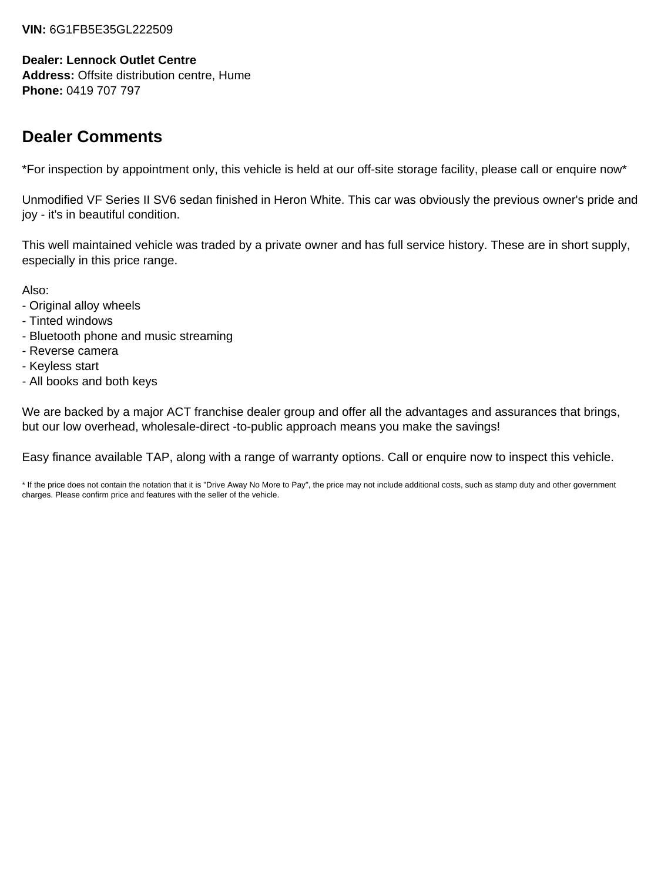### **VIN:** 6G1FB5E35GL222509

### **Dealer: Lennock Outlet Centre**

**Address:** Offsite distribution centre, Hume **Phone:** 0419 707 797

# **Dealer Comments**

\*For inspection by appointment only, this vehicle is held at our off-site storage facility, please call or enquire now\*

Unmodified VF Series II SV6 sedan finished in Heron White. This car was obviously the previous owner's pride and joy - it's in beautiful condition.

This well maintained vehicle was traded by a private owner and has full service history. These are in short supply, especially in this price range.

Also:

- Original alloy wheels
- Tinted windows
- Bluetooth phone and music streaming
- Reverse camera
- Keyless start
- All books and both keys

We are backed by a major ACT franchise dealer group and offer all the advantages and assurances that brings, but our low overhead, wholesale-direct -to-public approach means you make the savings!

Easy finance available TAP, along with a range of warranty options. Call or enquire now to inspect this vehicle.

\* If the price does not contain the notation that it is "Drive Away No More to Pay", the price may not include additional costs, such as stamp duty and other government charges. Please confirm price and features with the seller of the vehicle.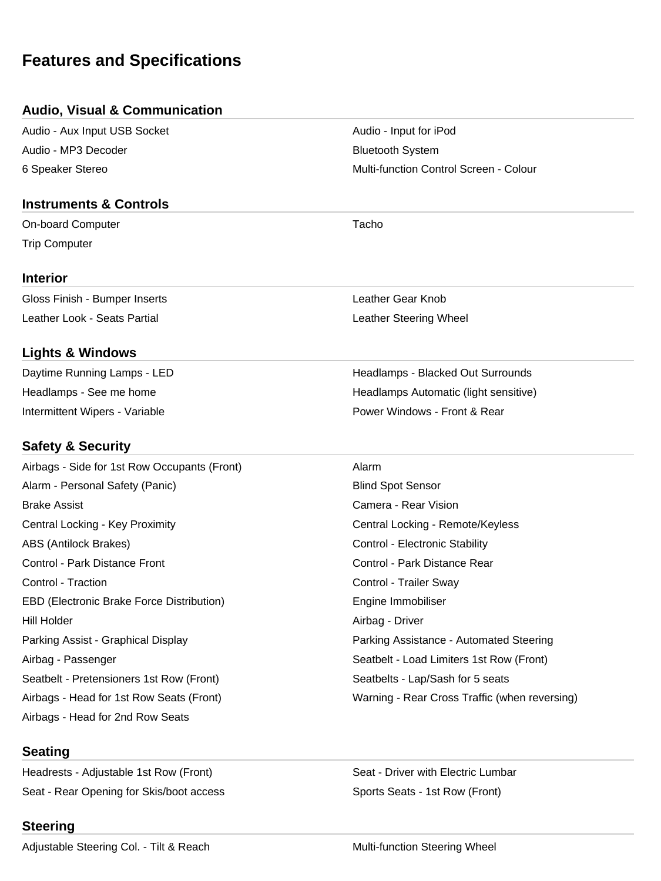# **Features and Specifications**

### **Audio, Visual & Communication**

Audio - Aux Input USB Socket Audio - Input for iPod Audio - MP3 Decoder Bluetooth System

## **Instruments & Controls**

On-board Computer **Tacho** Trip Computer

### **Interior**

Gloss Finish - Bumper Inserts Leather Gear Knob Leather Look - Seats Partial **Leather Steering Wheel** 

# **Lights & Windows**

Intermittent Wipers - Variable **Power Windows - Front & Rear** Power Windows - Front & Rear

# **Safety & Security**

Airbags - Side for 1st Row Occupants (Front) Alarm Alarm - Personal Safety (Panic) and Blind Spot Sensor Brake Assist Camera - Rear Vision Central Locking - Key Proximity Central Locking - Remote/Keyless ABS (Antilock Brakes) **Control - Electronic Stability** Control - Electronic Stability Control - Park Distance Front Control - Park Distance Rear Control - Traction Control - Trailer Sway EBD (Electronic Brake Force Distribution) entitled and the Engine Immobiliser Hill Holder Airbag - Driver Parking Assist - Graphical Display Parking Assistance - Automated Steering Airbag - Passenger Seatbelt - Load Limiters 1st Row (Front) Seatbelt - Pretensioners 1st Row (Front) Seatbelts - Lap/Sash for 5 seats Airbags - Head for 1st Row Seats (Front) Warning - Rear Cross Traffic (when reversing) Airbags - Head for 2nd Row Seats

# **Seating**

Headrests - Adjustable 1st Row (Front) Seat - Driver with Electric Lumbar Seat - Rear Opening for Skis/boot access Sports Seats - 1st Row (Front)

# **Steering**

Adjustable Steering Col. - Tilt & Reach Multi-function Steering Wheel

Daytime Running Lamps - LED **Headlamps - Blacked Out Surrounds** Headlamps - See me home **Headlamps Automatic (light sensitive)** Headlamps Automatic (light sensitive)